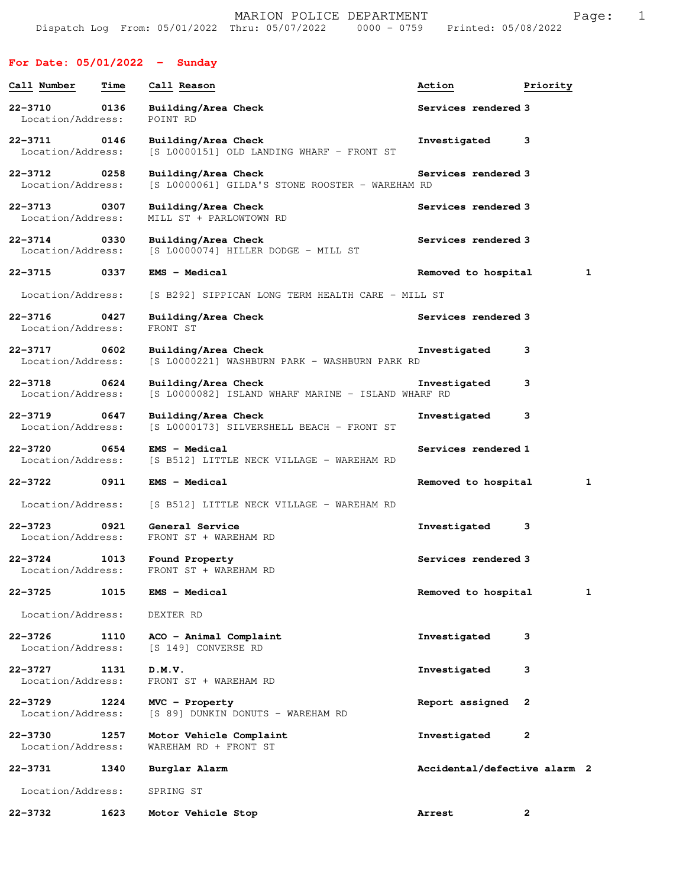## **For Date: 05/01/2022 - Sunday**

| Call Number                      | Time | Call Reason                                                               | Action                       | Priority     |
|----------------------------------|------|---------------------------------------------------------------------------|------------------------------|--------------|
| 22-3710<br>Location/Address:     | 0136 | Building/Area Check<br>POINT RD                                           | Services rendered 3          |              |
| 22-3711<br>Location/Address:     | 0146 | Building/Area Check<br>[S L0000151] OLD LANDING WHARF - FRONT ST          | Investigated                 | 3            |
| 22-3712<br>Location/Address:     | 0258 | Building/Area Check<br>[S L0000061] GILDA'S STONE ROOSTER - WAREHAM RD    | Services rendered 3          |              |
| $22 - 3713$<br>Location/Address: | 0307 | Building/Area Check<br>MILL ST + PARLOWTOWN RD                            | Services rendered 3          |              |
| $22 - 3714$<br>Location/Address: | 0330 | Building/Area Check<br>[S L0000074] HILLER DODGE - MILL ST                | Services rendered 3          |              |
| 22-3715 0337                     |      | <b>EMS - Medical</b>                                                      | Removed to hospital          | 1            |
| Location/Address:                |      | [S B292] SIPPICAN LONG TERM HEALTH CARE - MILL ST                         |                              |              |
| $22 - 3716$<br>Location/Address: | 0427 | Building/Area Check<br>FRONT ST                                           | Services rendered 3          |              |
| $22 - 3717$<br>Location/Address: | 0602 | Building/Area Check<br>[S L0000221] WASHBURN PARK - WASHBURN PARK RD      | Investigated                 | 3            |
| $22 - 3718$<br>Location/Address: | 0624 | Building/Area Check<br>[S L0000082] ISLAND WHARF MARINE - ISLAND WHARF RD | Investigated                 | 3            |
| 22-3719<br>Location/Address:     | 0647 | Building/Area Check<br>[S L0000173] SILVERSHELL BEACH - FRONT ST          | Investigated                 | 3            |
| 22-3720<br>Location/Address:     | 0654 | <b>EMS - Medical</b><br>[S B512] LITTLE NECK VILLAGE - WAREHAM RD         | Services rendered 1          |              |
| 22-3722                          | 0911 | <b>EMS - Medical</b>                                                      | Removed to hospital          | 1            |
| Location/Address:                |      | [S B512] LITTLE NECK VILLAGE - WAREHAM RD                                 |                              |              |
| 22-3723<br>Location/Address:     | 0921 | General Service<br>FRONT ST + WAREHAM RD                                  | Investigated                 | 3            |
| $22 - 3724$<br>Location/Address: | 1013 | Found Property<br>FRONT ST + WAREHAM RD                                   | Services rendered 3          |              |
| 22-3725                          | 1015 | EMS - Medical                                                             | Removed to hospital          | 1            |
| Location/Address:                |      | DEXTER RD                                                                 |                              |              |
| $22 - 3726$<br>Location/Address: | 1110 | ACO - Animal Complaint<br>[S 149] CONVERSE RD                             | Investigated                 | 3            |
| $22 - 3727$<br>Location/Address: | 1131 | D.M.V.<br>FRONT ST + WAREHAM RD                                           | Investigated                 | 3            |
| $22 - 3729$<br>Location/Address: | 1224 | $MVC$ - Property<br>[S 89] DUNKIN DONUTS - WAREHAM RD                     | Report assigned              | 2            |
| 22-3730<br>Location/Address:     | 1257 | Motor Vehicle Complaint<br>WAREHAM RD + FRONT ST                          | Investigated                 | 2            |
| 22-3731                          | 1340 | Burglar Alarm                                                             | Accidental/defective alarm 2 |              |
| Location/Address:                |      | SPRING ST                                                                 |                              |              |
| 22-3732                          | 1623 | Motor Vehicle Stop                                                        | Arrest                       | $\mathbf{2}$ |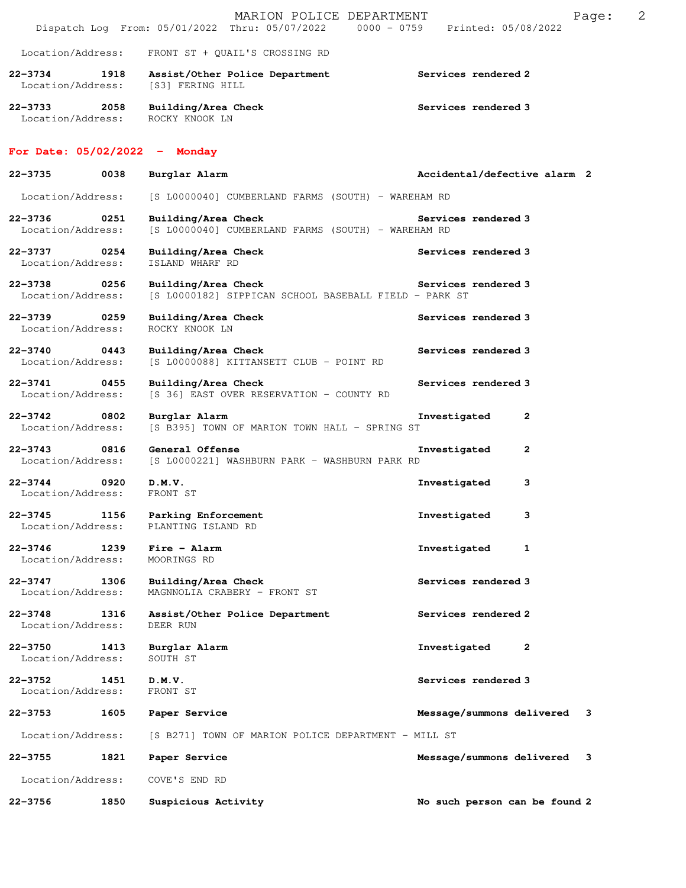|                                                 |             | MARION POLICE DEPARTMENT<br>Dispatch Log From: 05/01/2022 Thru: 05/07/2022 0000 - 0759 Printed: 05/08/2022 | 2<br>Page:                     |
|-------------------------------------------------|-------------|------------------------------------------------------------------------------------------------------------|--------------------------------|
| Location/Address:                               |             | FRONT ST + QUAIL'S CROSSING RD                                                                             |                                |
| 22–3734 1918<br>Location/Address:               |             | Assist/Other Police Department<br>[S3] FERING HILL                                                         | Services rendered 2            |
| 22-3733<br>Location/Address:                    | 2058        | Building/Area Check<br>ROCKY KNOOK LN                                                                      | Services rendered 3            |
| For Date: $05/02/2022 -$ Monday                 |             |                                                                                                            |                                |
| 22-3735                                         | 0038        | Burglar Alarm                                                                                              | Accidental/defective alarm 2   |
| Location/Address:                               |             | [S L0000040] CUMBERLAND FARMS (SOUTH) - WAREHAM RD                                                         |                                |
| $22 - 3736$<br>Location/Address:                | 0251        | Building/Area Check<br>[S L0000040] CUMBERLAND FARMS (SOUTH) - WAREHAM RD                                  | Services rendered 3            |
| 22-3737 0254<br>Location/Address:               |             | Building/Area Check<br>ISLAND WHARF RD                                                                     | Services rendered 3            |
| 22-3738 0256<br>Location/Address:               |             | Building/Area Check<br>[S L0000182] SIPPICAN SCHOOL BASEBALL FIELD - PARK ST                               | Services rendered 3            |
| 0259<br>22-3739<br>Location/Address:            |             | Building/Area Check<br>ROCKY KNOOK LN                                                                      | Services rendered 3            |
| $22 - 3740$<br>0443<br>Location/Address:        |             | Building/Area Check<br>[S L0000088] KITTANSETT CLUB - POINT RD                                             | Services rendered 3            |
| 22-3741 0455<br>Location/Address:               |             | Building/Area Check<br>[S 36] EAST OVER RESERVATION - COUNTY RD                                            | Services rendered 3            |
| $22 - 3742$<br>$\sim$ 0802<br>Location/Address: |             | Burglar Alarm<br>[S B395] TOWN OF MARION TOWN HALL - SPRING ST                                             | Investigated<br>2              |
| $22 - 3743$<br>Location/Address:                | 0816        | General Offense<br>[S L0000221] WASHBURN PARK - WASHBURN PARK RD                                           | Investigated<br>$\mathbf{2}$   |
| $22 - 3744$<br>Location/Address:                | $\sim$ 0920 | D.M.V.<br>FRONT ST                                                                                         | Investigated<br>3              |
| $22 - 3745$<br>Location/Address:                | 1156        | Parking Enforcement<br>PLANTING ISLAND RD                                                                  | 3<br>Investigated              |
| $22 - 3746$<br>Location/Address:                | 1239        | Fire - Alarm<br>MOORINGS RD                                                                                | 1<br>Investigated              |
| $22 - 3747$<br>Location/Address:                | 1306        | Building/Area Check<br>MAGNNOLIA CRABERY - FRONT ST                                                        | <b>Services rendered 3</b>     |
| $22 - 3748$<br>Location/Address:                | 1316        | Assist/Other Police Department<br>DEER RUN                                                                 | Services rendered 2            |
| $22 - 3750$<br>Location/Address:                | 1413        | Burglar Alarm<br>SOUTH ST                                                                                  | Investigated<br>$\mathbf{2}$   |
| $22 - 3752$<br>Location/Address:                | 1451        | D.M.V.<br>FRONT ST                                                                                         | Services rendered 3            |
| 22-3753                                         | 1605        | Paper Service                                                                                              | Message/summons delivered<br>3 |
| Location/Address:                               |             | [S B271] TOWN OF MARION POLICE DEPARTMENT - MILL ST                                                        |                                |
| $22 - 3755$                                     | 1821        | Paper Service                                                                                              | Message/summons delivered<br>3 |
| Location/Address:                               |             | COVE'S END RD                                                                                              |                                |
| $22 - 3756$                                     | 1850        | Suspicious Activity                                                                                        | No such person can be found 2  |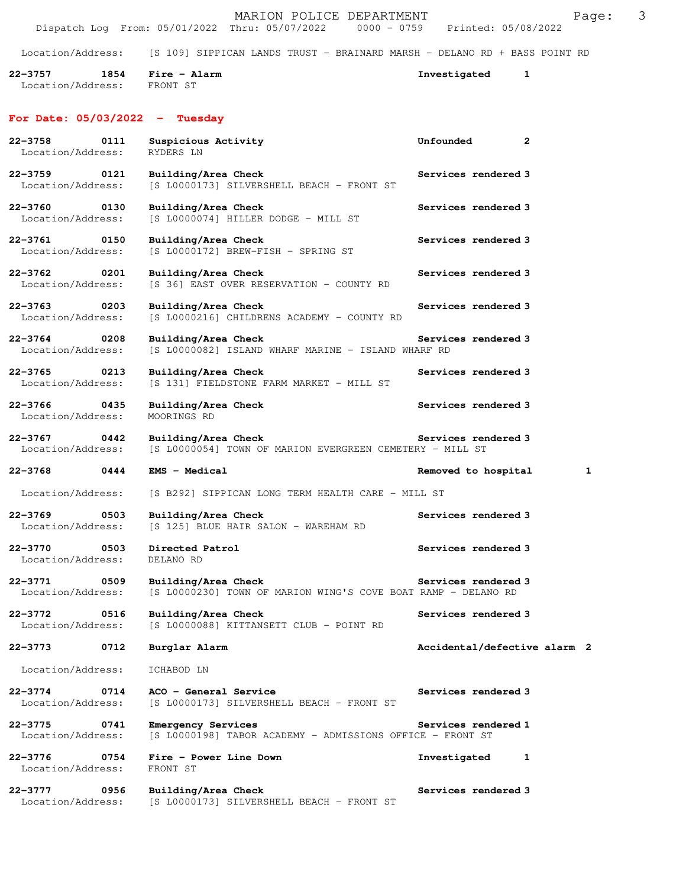|                                          |      | MARION POLICE DEPARTMENT<br>Dispatch Log From: 05/01/2022 Thru: 05/07/2022 0000 - 0759 Printed: 05/08/2022 |                              | 3<br>Page: |
|------------------------------------------|------|------------------------------------------------------------------------------------------------------------|------------------------------|------------|
| Location/Address:                        |      | [S 109] SIPPICAN LANDS TRUST - BRAINARD MARSH - DELANO RD + BASS POINT RD                                  |                              |            |
| $22 - 3757$<br>Location/Address:         | 1854 | Fire - Alarm<br>FRONT ST                                                                                   | Investigated<br>1            |            |
| For Date: $05/03/2022 - Tuesday$         |      |                                                                                                            |                              |            |
| $22 - 3758$<br>Location/Address:         | 0111 | Suspicious Activity<br>RYDERS LN                                                                           | $\mathbf{2}$<br>Unfounded    |            |
| $22 - 3759$<br>Location/Address:         | 0121 | Building/Area Check<br>[S L0000173] SILVERSHELL BEACH - FRONT ST                                           | Services rendered 3          |            |
| $22 - 3760$<br>Location/Address:         | 0130 | Building/Area Check<br>[S L0000074] HILLER DODGE - MILL ST                                                 | Services rendered 3          |            |
| 22-3761<br>Location/Address:             | 0150 | Building/Area Check<br>$[S L0000172]$ BREW-FISH - SPRING ST                                                | Services rendered 3          |            |
| $22 - 3762$<br>Location/Address:         | 0201 | Building/Area Check<br>[S 36] EAST OVER RESERVATION - COUNTY RD                                            | Services rendered 3          |            |
| 22-3763<br>Location/Address:             | 0203 | Building/Area Check<br>[S L0000216] CHILDRENS ACADEMY - COUNTY RD                                          | Services rendered 3          |            |
| $22 - 3764$<br>Location/Address:         | 0208 | Building/Area Check<br>[S L0000082] ISLAND WHARF MARINE - ISLAND WHARF RD                                  | Services rendered 3          |            |
| $22 - 3765$<br>Location/Address:         | 0213 | Building/Area Check<br>[S 131] FIELDSTONE FARM MARKET - MILL ST                                            | Services rendered 3          |            |
| $22 - 3766$<br>Location/Address:         | 0435 | Building/Area Check<br>MOORINGS RD                                                                         | Services rendered 3          |            |
| $22 - 3767$<br>Location/Address:         | 0442 | Building/Area Check<br>[S L0000054] TOWN OF MARION EVERGREEN CEMETERY - MILL ST                            | Services rendered 3          |            |
| 22-3768                                  | 0444 | EMS - Medical                                                                                              | Removed to hospital          | 1          |
| Location/Address:                        |      | [S B292] SIPPICAN LONG TERM HEALTH CARE - MILL ST                                                          |                              |            |
| $22 - 3769$<br>0503<br>Location/Address: |      | Building/Area Check<br>[S 125] BLUE HAIR SALON - WAREHAM RD                                                | Services rendered 3          |            |
| 22-3770<br>Location/Address:             | 0503 | Directed Patrol<br>DELANO RD                                                                               | Services rendered 3          |            |
| $22 - 3771$<br>Location/Address:         | 0509 | Building/Area Check<br>[S L0000230] TOWN OF MARION WING'S COVE BOAT RAMP - DELANO RD                       | Services rendered 3          |            |
| 22-3772<br>Location/Address:             | 0516 | Building/Area Check<br>[S L0000088] KITTANSETT CLUB - POINT RD                                             | Services rendered 3          |            |
| 22-3773                                  | 0712 | Burglar Alarm                                                                                              | Accidental/defective alarm 2 |            |
| Location/Address:                        |      | ICHABOD LN                                                                                                 |                              |            |
| $22 - 3774$<br>Location/Address:         | 0714 | ACO - General Service<br>[S L0000173] SILVERSHELL BEACH - FRONT ST                                         | Services rendered 3          |            |
| $22 - 3775$<br>Location/Address:         | 0741 | <b>Emergency Services</b><br>[S L0000198] TABOR ACADEMY - ADMISSIONS OFFICE - FRONT ST                     | Services rendered 1          |            |
| $22 - 3776$<br>Location/Address:         | 0754 | Fire - Power Line Down<br>FRONT ST                                                                         | Investigated<br>1            |            |
| $22 - 3777$<br>Location/Address:         | 0956 | Building/Area Check<br>[S L0000173] SILVERSHELL BEACH - FRONT ST                                           | Services rendered 3          |            |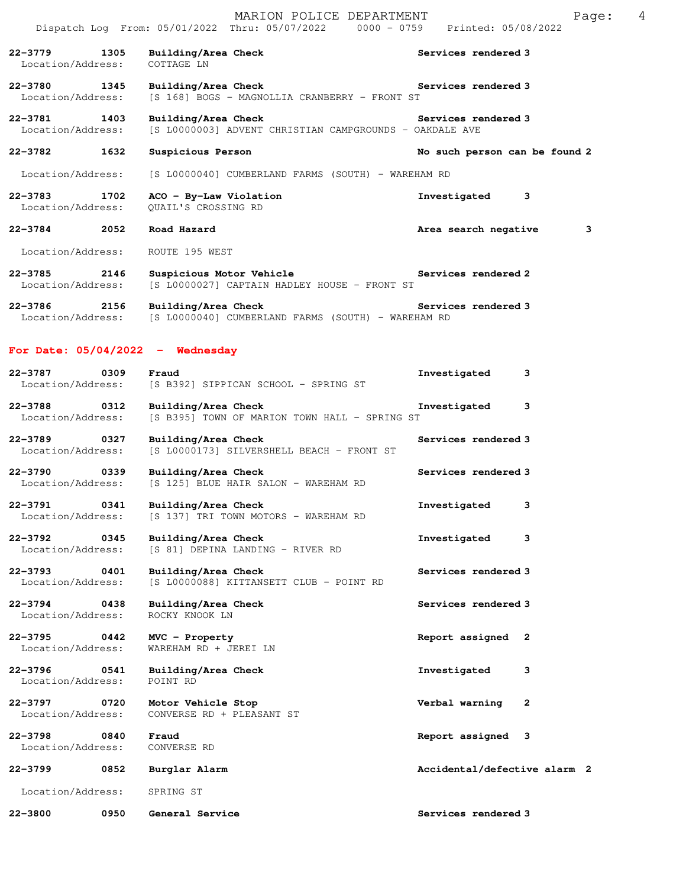|                                          |      | MARION POLICE DEPARTMENT<br>Dispatch Log From: 05/01/2022 Thru: 05/07/2022 0000 - 0759 Printed: 05/08/2022 | 4<br>Page:                    |
|------------------------------------------|------|------------------------------------------------------------------------------------------------------------|-------------------------------|
| $22 - 3779$<br>Location/Address:         | 1305 | Building/Area Check<br>COTTAGE LN                                                                          | Services rendered 3           |
| 22-3780<br>1345<br>Location/Address:     |      | Building/Area Check<br>[S 168] BOGS - MAGNOLLIA CRANBERRY - FRONT ST                                       | Services rendered 3           |
| 22-3781 1403<br>Location/Address:        |      | Building/Area Check<br>[S L0000003] ADVENT CHRISTIAN CAMPGROUNDS - OAKDALE AVE                             | Services rendered 3           |
| 22-3782                                  | 1632 | Suspicious Person                                                                                          | No such person can be found 2 |
| Location/Address:                        |      | [S L0000040] CUMBERLAND FARMS (SOUTH) - WAREHAM RD                                                         |                               |
| 22-3783<br>Location/Address:             | 1702 | ACO - By-Law Violation<br>QUAIL'S CROSSING RD                                                              | Investigated<br>3             |
| $22 - 3784$ 2052                         |      | Road Hazard                                                                                                | 3<br>Area search negative     |
| Location/Address:                        |      | ROUTE 195 WEST                                                                                             |                               |
| $22 - 3785$<br>2146<br>Location/Address: |      | Suspicious Motor Vehicle<br>[S L0000027] CAPTAIN HADLEY HOUSE - FRONT ST                                   | Services rendered 2           |
| 22-3786<br>Location/Address:             | 2156 | Building/Area Check<br>[S L0000040] CUMBERLAND FARMS (SOUTH) - WAREHAM RD                                  | Services rendered 3           |
|                                          |      | For Date: $05/04/2022 -$ Wednesday                                                                         |                               |
| 22-3787<br>Location/Address:             | 0309 | Fraud<br>[S B392] SIPPICAN SCHOOL - SPRING ST                                                              | Investigated<br>3             |
| $22 - 3788$<br>Location/Address:         | 0312 | Building/Area Check<br>[S B395] TOWN OF MARION TOWN HALL - SPRING ST                                       | 3<br>Investigated             |
| $22 - 3789$<br>Location/Address:         | 0327 | Building/Area Check<br>[S L0000173] SILVERSHELL BEACH - FRONT ST                                           | Services rendered 3           |
| $22 - 3790$<br>Location/Address:         | 0339 | Building/Area Check<br>[S 125] BLUE HAIR SALON - WAREHAM RD                                                | Services rendered 3           |
| $22 - 3791$<br>Location/Address:         | 0341 | Building/Area Check<br>[S 137] TRI TOWN MOTORS - WAREHAM RD                                                | 3<br>Investigated             |
| $22 - 3792$<br>Location/Address:         | 0345 | Building/Area Check<br>[S 81] DEPINA LANDING - RIVER RD                                                    | Investigated<br>3             |
| 22-3793<br>Location/Address:             | 0401 | Building/Area Check<br>[S L0000088] KITTANSETT CLUB - POINT RD                                             | Services rendered 3           |
| $22 - 3794$<br>Location/Address:         | 0438 | Building/Area Check<br>ROCKY KNOOK LN                                                                      | Services rendered 3           |
| $22 - 3795$<br>Location/Address:         | 0442 | MVC - Property<br>WAREHAM RD + JEREI LN                                                                    | Report assigned<br>2          |
| $22 - 3796$<br>Location/Address:         | 0541 | Building/Area Check<br>POINT RD                                                                            | 3<br>Investigated             |
| $22 - 3797$<br>Location/Address:         | 0720 | Motor Vehicle Stop<br>CONVERSE RD + PLEASANT ST                                                            | Verbal warning<br>2           |
| $22 - 3798$<br>Location/Address:         | 0840 | Fraud<br>CONVERSE RD                                                                                       | Report assigned<br>3          |
| 22-3799<br>Location/Address:             | 0852 | Burglar Alarm                                                                                              | Accidental/defective alarm 2  |
| 22-3800                                  | 0950 | SPRING ST<br>General Service                                                                               | Services rendered 3           |
|                                          |      |                                                                                                            |                               |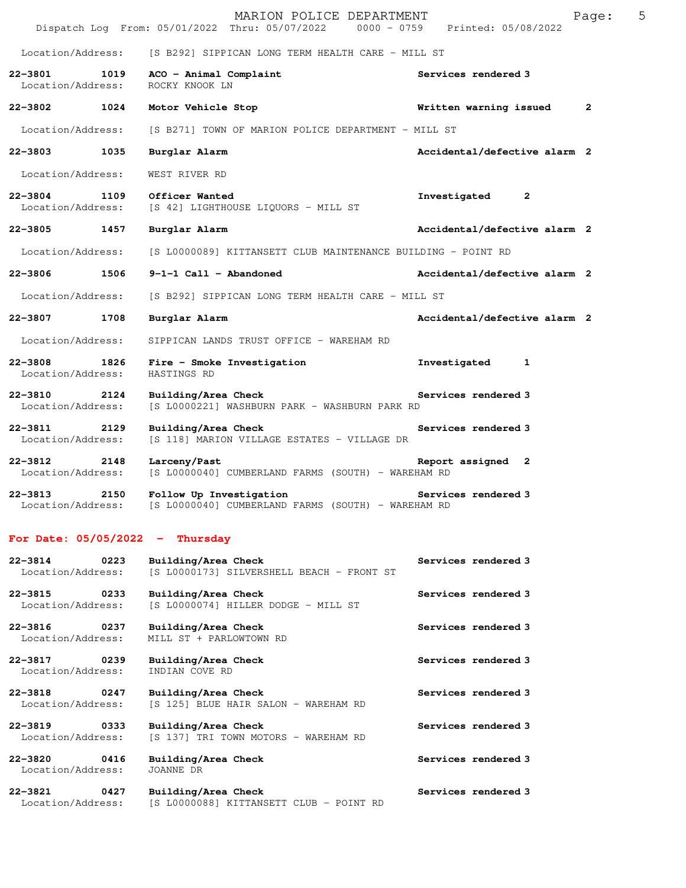|                                  |      | MARION POLICE DEPARTMENT<br>Dispatch Log From: 05/01/2022 Thru: 05/07/2022   0000 - 0759   Printed: 05/08/2022 |                              | 5<br>Page: |
|----------------------------------|------|----------------------------------------------------------------------------------------------------------------|------------------------------|------------|
| Location/Address:                |      | [S B292] SIPPICAN LONG TERM HEALTH CARE - MILL ST                                                              |                              |            |
| 22-3801<br>Location/Address:     | 1019 | ACO - Animal Complaint<br>ROCKY KNOOK LN                                                                       | Services rendered 3          |            |
| 22-3802 1024                     |      | Motor Vehicle Stop                                                                                             | Written warning issued       | 2          |
| Location/Address:                |      | [S B271] TOWN OF MARION POLICE DEPARTMENT - MILL ST                                                            |                              |            |
| $22 - 3803$                      | 1035 | Burglar Alarm                                                                                                  | Accidental/defective alarm 2 |            |
| Location/Address:                |      | WEST RIVER RD                                                                                                  |                              |            |
| 22-3804<br>Location/Address:     | 1109 | Officer Wanted<br>[S 42] LIGHTHOUSE LIQUORS - MILL ST                                                          | Investigated<br>$\mathbf{2}$ |            |
| 22-3805 1457                     |      | Burglar Alarm                                                                                                  | Accidental/defective alarm 2 |            |
| Location/Address:                |      | [S L0000089] KITTANSETT CLUB MAINTENANCE BUILDING - POINT RD                                                   |                              |            |
| 22-3806                          | 1506 | $9-1-1$ Call - Abandoned                                                                                       | Accidental/defective alarm 2 |            |
| Location/Address:                |      | [S B292] SIPPICAN LONG TERM HEALTH CARE - MILL ST                                                              |                              |            |
| 22-3807                          | 1708 | Burglar Alarm                                                                                                  | Accidental/defective alarm 2 |            |
| Location/Address:                |      | SIPPICAN LANDS TRUST OFFICE - WAREHAM RD                                                                       |                              |            |
| $22 - 3808$<br>Location/Address: | 1826 | Fire - Smoke Investigation<br>HASTINGS RD                                                                      | Investigated<br>1            |            |
| $22 - 3810$<br>Location/Address: | 2124 | Building/Area Check<br>[S L0000221] WASHBURN PARK - WASHBURN PARK RD                                           | Services rendered 3          |            |
| 22-3811<br>Location/Address:     | 2129 | Building/Area Check<br>[S 118] MARION VILLAGE ESTATES - VILLAGE DR                                             | Services rendered 3          |            |
| $22 - 3812$<br>Location/Address: | 2148 | Larceny/Past<br>[S L0000040] CUMBERLAND FARMS (SOUTH) - WAREHAM RD                                             | Report assigned 2            |            |
| $22 - 3813$<br>Location/Address: | 2150 | Follow Up Investigation<br>[S L0000040] CUMBERLAND FARMS (SOUTH) - WAREHAM RD                                  | Services rendered 3          |            |
|                                  |      | For Date: $05/05/2022 - Thursday$                                                                              |                              |            |
| $22 - 3814$<br>Location/Address: | 0223 | Building/Area Check<br>[S L0000173] SILVERSHELL BEACH - FRONT ST                                               | Services rendered 3          |            |
| $22 - 3815$<br>Location/Address: | 0233 | Building/Area Check<br>[S L0000074] HILLER DODGE - MILL ST                                                     | Services rendered 3          |            |
| $22 - 3816$<br>Location/Address: | 0237 | Building/Area Check<br>MILL ST + PARLOWTOWN RD                                                                 | Services rendered 3          |            |

**22-3817 0239 Building/Area Check Services rendered 3**  Location/Address: INDIAN COVE RD

**22-3818** 0247 Building/Area Check Services rendered 3 Location/Address: [S 125] BLUE HAIR SALON - WAREHAM RD [S 125] BLUE HAIR SALON - WAREHAM RD

**22-3819 0333 Building/Area Check Services rendered 3**  Location/Address: [S 137] TRI TOWN MOTORS - WAREHAM RD

**22-3820 0416 Building/Area Check Services rendered 3**  Location/Address:

**22-3821 0427 Building/Area Check Services rendered 3** 

Location/Address: [S L0000088] KITTANSETT CLUB - POINT RD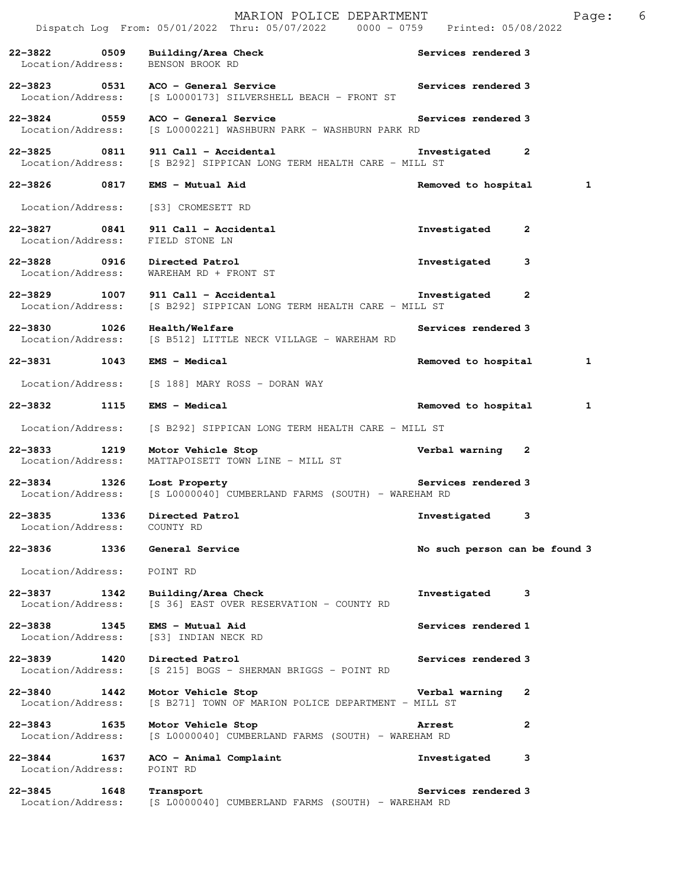|                                          |      | MARION POLICE DEPARTMENT<br>Dispatch Log From: 05/01/2022 Thru: 05/07/2022 0000 - 0759 Printed: 05/08/2022 |                               |              | Page: | 6 |
|------------------------------------------|------|------------------------------------------------------------------------------------------------------------|-------------------------------|--------------|-------|---|
| $22 - 3822$<br>Location/Address:         | 0509 | Building/Area Check<br>BENSON BROOK RD                                                                     | Services rendered 3           |              |       |   |
| 22-3823 0531<br>Location/Address:        |      | ACO - General Service<br>[S L0000173] SILVERSHELL BEACH - FRONT ST                                         | Services rendered 3           |              |       |   |
| 22-3824 0559<br>Location/Address:        |      | ACO - General Service<br>[S L0000221] WASHBURN PARK - WASHBURN PARK RD                                     | Services rendered 3           |              |       |   |
| 0811<br>22-3825<br>Location/Address:     |      | 911 Call - Accidental<br>[S B292] SIPPICAN LONG TERM HEALTH CARE - MILL ST                                 | Investigated                  | $\mathbf{2}$ |       |   |
| 22-3826 0817                             |      | EMS - Mutual Aid                                                                                           | Removed to hospital           |              | 1     |   |
| Location/Address:                        |      | [S3] CROMESETT RD                                                                                          |                               |              |       |   |
| 22-3827 0841<br>Location/Address:        |      | 911 Call - Accidental<br>FIELD STONE LN                                                                    | Investigated                  | 2            |       |   |
| 22-3828 0916                             |      | Directed Patrol<br>Location/Address: WAREHAM RD + FRONT ST                                                 | Investigated                  | 3            |       |   |
| 22-3829 1007<br>Location/Address:        |      | 911 Call - Accidental<br>[S B292] SIPPICAN LONG TERM HEALTH CARE - MILL ST                                 | Investigated                  | $\mathbf{2}$ |       |   |
| 1026<br>$22 - 3830$<br>Location/Address: |      | Health/Welfare<br>[S B512] LITTLE NECK VILLAGE - WAREHAM RD                                                | Services rendered 3           |              |       |   |
| 22–3831 1043                             |      | <b>EMS - Medical</b>                                                                                       | Removed to hospital           |              | 1     |   |
| Location/Address:                        |      | [S 188] MARY ROSS - DORAN WAY                                                                              |                               |              |       |   |
| 22–3832 1115                             |      | <b>EMS - Medical</b>                                                                                       | Removed to hospital           |              | 1     |   |
| Location/Address:                        |      | [S B292] SIPPICAN LONG TERM HEALTH CARE - MILL ST                                                          |                               |              |       |   |
| $22 - 3833$<br>1219<br>Location/Address: |      | Motor Vehicle Stop<br>MATTAPOISETT TOWN LINE - MILL ST                                                     | Verbal warning                | 2            |       |   |
| 22-3834 1326<br>Location/Address:        |      | Lost Property<br>[S L0000040] CUMBERLAND FARMS (SOUTH) - WAREHAM RD                                        | Services rendered 3           |              |       |   |
| 22-3835<br>Location/Address:             | 1336 | Directed Patrol<br>COUNTY RD                                                                               | Investigated                  | 3            |       |   |
| 22-3836 1336                             |      | General Service                                                                                            | No such person can be found 3 |              |       |   |
| Location/Address:                        |      | POINT RD                                                                                                   |                               |              |       |   |
| 22-3837<br>1342<br>Location/Address:     |      | Building/Area Check<br>[S 36] EAST OVER RESERVATION - COUNTY RD                                            | Investigated                  | 3            |       |   |
| 22-3838 1345<br>Location/Address:        |      | EMS - Mutual Aid<br>[S3] INDIAN NECK RD                                                                    | Services rendered 1           |              |       |   |
| 22–3839 1420<br>Location/Address:        |      | Directed Patrol<br>[S 215] BOGS - SHERMAN BRIGGS - POINT RD                                                | Services rendered 3           |              |       |   |
| 22-3840 1442<br>Location/Address:        |      | Motor Vehicle Stop<br>[S B271] TOWN OF MARION POLICE DEPARTMENT - MILL ST                                  | Verbal warning                | 2            |       |   |
| $22 - 3843$<br>Location/Address:         | 1635 | Motor Vehicle Stop<br>[S L0000040] CUMBERLAND FARMS (SOUTH) - WAREHAM RD                                   | <b>Arrest</b>                 | $\mathbf{2}$ |       |   |
| $22 - 3844$<br>Location/Address:         | 1637 | ACO - Animal Complaint<br>POINT RD                                                                         | Investigated                  | 3            |       |   |
| $22 - 3845$                              | 1648 | Transport<br>Location/Address: [S L0000040] CUMBERLAND FARMS (SOUTH) - WAREHAM RD                          | Services rendered 3           |              |       |   |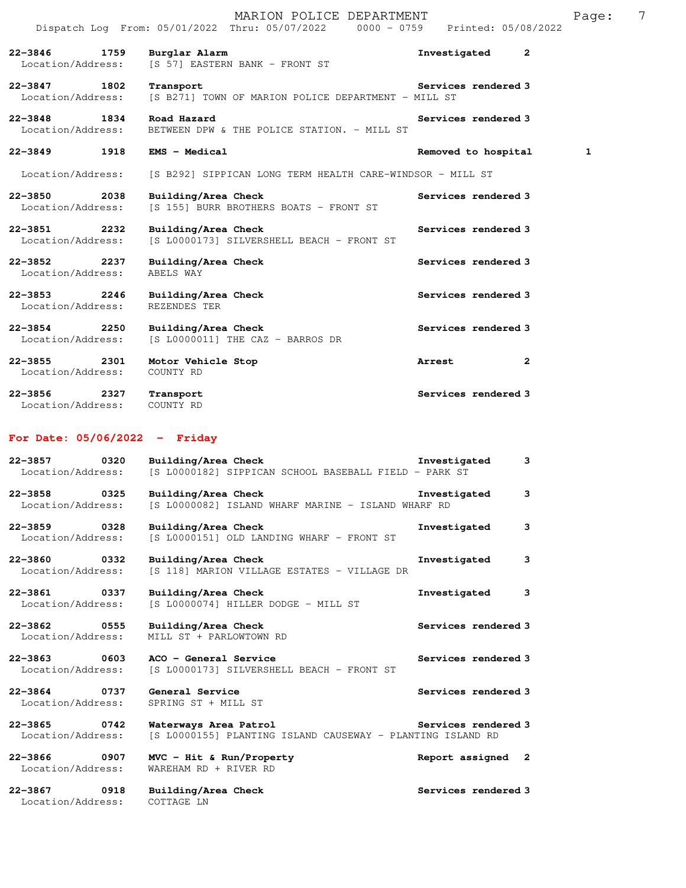|                                          | MARION POLICE DEPARTMENT<br>Dispatch Log From: 05/01/2022 Thru: 05/07/2022 0000 - 0759 Printed: 05/08/2022 |                        | Page: | 7 |
|------------------------------------------|------------------------------------------------------------------------------------------------------------|------------------------|-------|---|
| $22 - 3846$<br>1759<br>Location/Address: | Burglar Alarm<br>[S 57] EASTERN BANK - FRONT ST                                                            | Investigated<br>2      |       |   |
| $22 - 3847$<br>1802<br>Location/Address: | Transport<br>[S B271] TOWN OF MARION POLICE DEPARTMENT - MILL ST                                           | Services rendered 3    |       |   |
| $22 - 3848$<br>1834<br>Location/Address: | Road Hazard<br>BETWEEN DPW & THE POLICE STATION. - MILL ST                                                 | Services rendered 3    |       |   |
| $22 - 3849$<br>1918                      | <b>EMS - Medical</b>                                                                                       | Removed to hospital    | 1     |   |
| Location/Address:                        | [S B292] SIPPICAN LONG TERM HEALTH CARE-WINDSOR - MILL ST                                                  |                        |       |   |
| 22-3850 2038<br>Location/Address:        | Building/Area Check<br>[S 155] BURR BROTHERS BOATS - FRONT ST                                              | Services rendered 3    |       |   |
| $22 - 3851$<br>2232<br>Location/Address: | Building/Area Check<br>[S L0000173] SILVERSHELL BEACH - FRONT ST                                           | Services rendered 3    |       |   |
| $22 - 3852$<br>2237<br>Location/Address: | Building/Area Check<br>ABELS WAY                                                                           | Services rendered 3    |       |   |
| $22 - 3853$<br>2246<br>Location/Address: | Building/Area Check<br>REZENDES TER                                                                        | Services rendered 3    |       |   |
| $22 - 3854$<br>2250<br>Location/Address: | Building/Area Check<br>[S L0000011] THE CAZ - BARROS DR                                                    | Services rendered 3    |       |   |
| $22 - 3855$<br>2301<br>Location/Address: | Motor Vehicle Stop<br>COUNTY RD                                                                            | Arrest<br>$\mathbf{2}$ |       |   |
| $22 - 3856$<br>2327<br>Location/Address: | Transport<br>COUNTY RD                                                                                     | Services rendered 3    |       |   |

## **For Date: 05/06/2022 - Friday**

| 22-3857<br>Location/Address:      | 0320 | Building/Area Check<br>[S L0000182] SIPPICAN SCHOOL BASEBALL FIELD - PARK ST        | Investigated        | 3 |
|-----------------------------------|------|-------------------------------------------------------------------------------------|---------------------|---|
| 22-3858 0325<br>Location/Address: |      | Building/Area Check<br>[S L0000082] ISLAND WHARF MARINE - ISLAND WHARF RD           | Investigated        | 3 |
| 22-3859 0328<br>Location/Address: |      | Building/Area Check<br>[S L0000151] OLD LANDING WHARF - FRONT ST                    | Investigated        | 3 |
| 22-3860 0332<br>Location/Address: |      | Building/Area Check<br>[S 118] MARION VILLAGE ESTATES - VILLAGE DR                  | Investigated        | 3 |
| 22-3861 0337<br>Location/Address: |      | Building/Area Check<br>[S L0000074] HILLER DODGE - MILL ST                          | Investigated        | 3 |
| 22-3862 0555<br>Location/Address: |      | Building/Area Check<br>MILL ST + PARLOWTOWN RD                                      | Services rendered 3 |   |
| 22-3863 0603<br>Location/Address: |      | ACO - General Service<br>[S L0000173] SILVERSHELL BEACH - FRONT ST                  | Services rendered 3 |   |
| 22-3864 0737<br>Location/Address: |      | General Service<br>SPRING ST + MILL ST                                              | Services rendered 3 |   |
| 22-3865 0742<br>Location/Address: |      | Waterways Area Patrol<br>[S L0000155] PLANTING ISLAND CAUSEWAY - PLANTING ISLAND RD | Services rendered 3 |   |
| 22-3866 0907<br>Location/Address: |      | $MVC$ - Hit & Run/Property<br>WAREHAM RD + RIVER RD                                 | Report assigned 2   |   |
| 22-3867 0918<br>Location/Address: |      | Building/Area Check<br>COTTAGE LN                                                   | Services rendered 3 |   |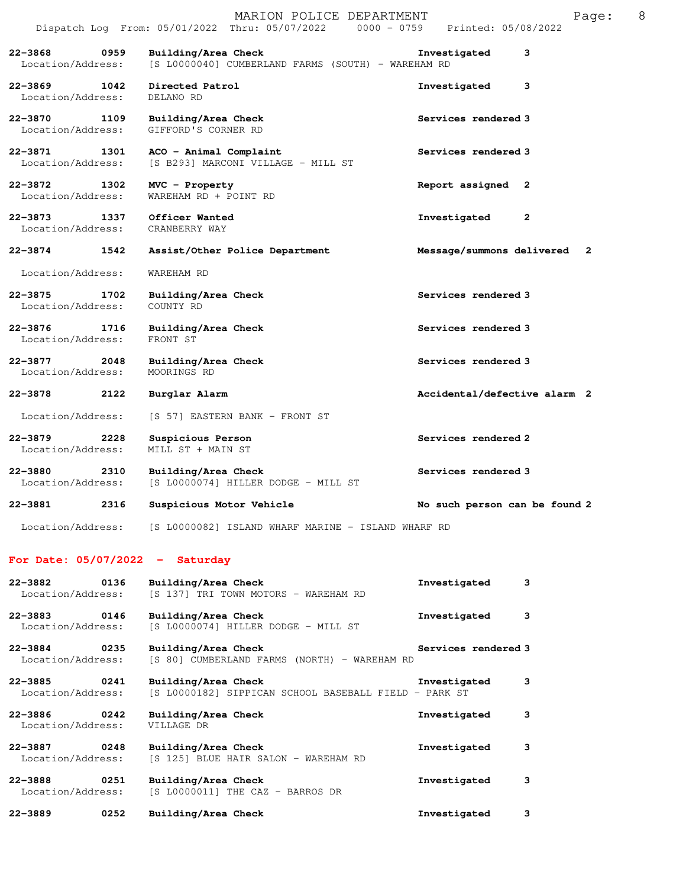|                                          |      | MARION POLICE DEPARTMENT<br>Dispatch Log From: 05/01/2022 Thru: 05/07/2022 0000 - 0759 | 8<br>Page:<br>Printed: 05/08/2022 |
|------------------------------------------|------|----------------------------------------------------------------------------------------|-----------------------------------|
| $22 - 3868$<br>Location/Address:         | 0959 | Building/Area Check<br>[S L0000040] CUMBERLAND FARMS (SOUTH) - WAREHAM RD              | 3<br>Investigated                 |
| $22 - 3869$<br>Location/Address:         | 1042 | Directed Patrol<br>DELANO RD                                                           | 3<br>Investigated                 |
| 22-3870<br>Location/Address:             | 1109 | Building/Area Check<br>GIFFORD'S CORNER RD                                             | Services rendered 3               |
| 22-3871<br>1301<br>Location/Address:     |      | ACO - Animal Complaint<br>[S B293] MARCONI VILLAGE - MILL ST                           | Services rendered 3               |
| 22-3872<br>Location/Address:             | 1302 | MVC - Property<br>WAREHAM RD + POINT RD                                                | Report assigned 2                 |
| $22 - 3873$<br>1337<br>Location/Address: |      | Officer Wanted<br>CRANBERRY WAY                                                        | Investigated<br>$\mathbf{2}$      |
| $22 - 3874$                              | 1542 | Assist/Other Police Department                                                         | Message/summons delivered<br>- 2  |
| Location/Address:                        |      | WAREHAM RD                                                                             |                                   |
| $22 - 3875$<br>Location/Address:         | 1702 | Building/Area Check<br>COUNTY RD                                                       | Services rendered 3               |
| $22 - 3876$<br>1716<br>Location/Address: |      | Building/Area Check<br>FRONT ST                                                        | Services rendered 3               |
| $22 - 3877$<br>Location/Address:         | 2048 | Building/Area Check<br>MOORINGS RD                                                     | Services rendered 3               |
| 22-3878                                  | 2122 | Burglar Alarm                                                                          | Accidental/defective alarm 2      |
| Location/Address:                        |      | [S 57] EASTERN BANK - FRONT ST                                                         |                                   |
| $22 - 3879$<br>Location/Address:         | 2228 | Suspicious Person<br>MILL ST + MAIN ST                                                 | Services rendered 2               |
| $22 - 3880$<br>Location/Address:         | 2310 | Building/Area Check<br>[S L0000074] HILLER DODGE - MILL ST                             | Services rendered 3               |
| $22 - 3881$                              | 2316 | Suspicious Motor Vehicle                                                               | No such person can be found 2     |

Location/Address: [S L0000082] ISLAND WHARF MARINE - ISLAND WHARF RD

## **For Date: 05/07/2022 - Saturday**

| 0136<br>$22 - 3882$<br>Location/Address: | Building/Area Check<br>[S 137] TRI TOWN MOTORS - WAREHAM RD                  | Investigated        | 3 |
|------------------------------------------|------------------------------------------------------------------------------|---------------------|---|
| $22 - 3883$<br>0146<br>Location/Address: | Building/Area Check<br>[S L0000074] HILLER DODGE - MILL ST                   | Investigated        | 3 |
| $22 - 3884$<br>0235<br>Location/Address: | Building/Area Check<br>[S 80] CUMBERLAND FARMS (NORTH) - WAREHAM RD          | Services rendered 3 |   |
| $22 - 3885$<br>0241<br>Location/Address: | Building/Area Check<br>[S L0000182] SIPPICAN SCHOOL BASEBALL FIELD - PARK ST | Investigated        | 3 |
| $22 - 3886$<br>0242<br>Location/Address: | Building/Area Check<br>VILLAGE DR                                            | Investigated        | 3 |
| 22-3887<br>0248<br>Location/Address:     | Building/Area Check<br>[S 125] BLUE HAIR SALON - WAREHAM RD                  | Investigated        | 3 |
| $22 - 3888$<br>0251<br>Location/Address: | Building/Area Check<br>[S L0000011] THE CAZ - BARROS DR                      | Investigated        | 3 |
| 0252<br>$22 - 3889$                      | Building/Area Check                                                          | Investigated        | з |